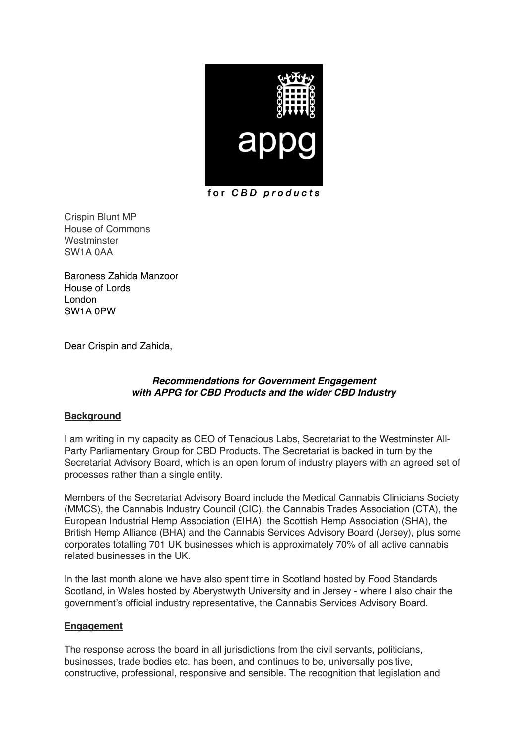

for CBD products

Crispin Blunt MP House of Commons **Westminster** SW1A 0AA

Baroness Zahida Manzoor House of Lords London SW1A 0PW

Dear Crispin and Zahida,

## *Recommendations for Government Engagement with APPG for CBD Products and the wider CBD Industry*

# **Background**

I am writing in my capacity as CEO of Tenacious Labs, Secretariat to the Westminster All-Party Parliamentary Group for CBD Products. The Secretariat is backed in turn by the Secretariat Advisory Board, which is an open forum of industry players with an agreed set of processes rather than a single entity.

Members of the Secretariat Advisory Board include the Medical Cannabis Clinicians Society (MMCS), the Cannabis Industry Council (CIC), the Cannabis Trades Association (CTA), the European Industrial Hemp Association (EIHA), the Scottish Hemp Association (SHA), the British Hemp Alliance (BHA) and the Cannabis Services Advisory Board (Jersey), plus some corporates totalling 701 UK businesses which is approximately 70% of all active cannabis related businesses in the UK.

In the last month alone we have also spent time in Scotland hosted by Food Standards Scotland, in Wales hosted by Aberystwyth University and in Jersey - where I also chair the government's official industry representative, the Cannabis Services Advisory Board.

# **Engagement**

The response across the board in all jurisdictions from the civil servants, politicians, businesses, trade bodies etc. has been, and continues to be, universally positive, constructive, professional, responsive and sensible. The recognition that legislation and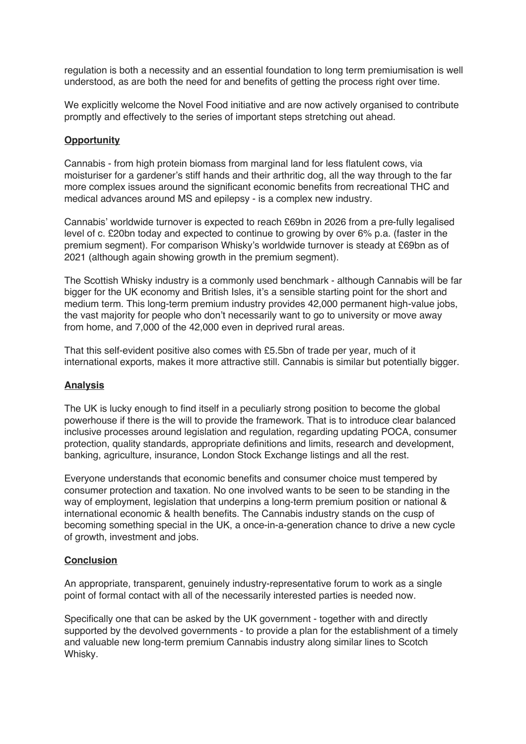regulation is both a necessity and an essential foundation to long term premiumisation is well understood, as are both the need for and benefits of getting the process right over time.

We explicitly welcome the Novel Food initiative and are now actively organised to contribute promptly and effectively to the series of important steps stretching out ahead.

#### **Opportunity**

Cannabis - from high protein biomass from marginal land for less flatulent cows, via moisturiser for a gardener's stiff hands and their arthritic dog, all the way through to the far more complex issues around the significant economic benefits from recreational THC and medical advances around MS and epilepsy - is a complex new industry.

Cannabis' worldwide turnover is expected to reach £69bn in 2026 from a pre-fully legalised level of c. £20bn today and expected to continue to growing by over 6% p.a. (faster in the premium segment). For comparison Whisky's worldwide turnover is steady at £69bn as of 2021 (although again showing growth in the premium segment).

The Scottish Whisky industry is a commonly used benchmark - although Cannabis will be far bigger for the UK economy and British Isles, it's a sensible starting point for the short and medium term. This long-term premium industry provides 42,000 permanent high-value jobs, the vast majority for people who don't necessarily want to go to university or move away from home, and 7,000 of the 42,000 even in deprived rural areas.

That this self-evident positive also comes with £5.5bn of trade per year, much of it international exports, makes it more attractive still. Cannabis is similar but potentially bigger.

### **Analysis**

The UK is lucky enough to find itself in a peculiarly strong position to become the global powerhouse if there is the will to provide the framework. That is to introduce clear balanced inclusive processes around legislation and regulation, regarding updating POCA, consumer protection, quality standards, appropriate definitions and limits, research and development, banking, agriculture, insurance, London Stock Exchange listings and all the rest.

Everyone understands that economic benefits and consumer choice must tempered by consumer protection and taxation. No one involved wants to be seen to be standing in the way of employment, legislation that underpins a long-term premium position or national & international economic & health benefits. The Cannabis industry stands on the cusp of becoming something special in the UK, a once-in-a-generation chance to drive a new cycle of growth, investment and jobs.

### **Conclusion**

An appropriate, transparent, genuinely industry-representative forum to work as a single point of formal contact with all of the necessarily interested parties is needed now.

Specifically one that can be asked by the UK government - together with and directly supported by the devolved governments - to provide a plan for the establishment of a timely and valuable new long-term premium Cannabis industry along similar lines to Scotch Whisky.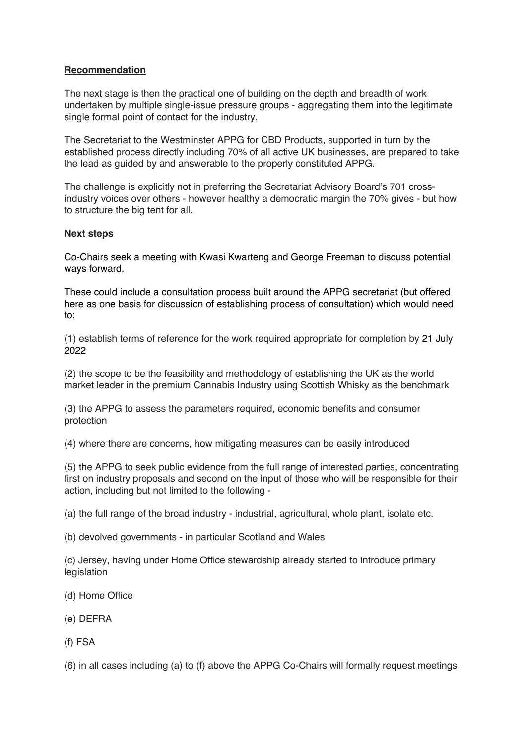## **Recommendation**

The next stage is then the practical one of building on the depth and breadth of work undertaken by multiple single-issue pressure groups - aggregating them into the legitimate single formal point of contact for the industry.

The Secretariat to the Westminster APPG for CBD Products, supported in turn by the established process directly including 70% of all active UK businesses, are prepared to take the lead as guided by and answerable to the properly constituted APPG.

The challenge is explicitly not in preferring the Secretariat Advisory Board's 701 crossindustry voices over others - however healthy a democratic margin the 70% gives - but how to structure the big tent for all.

### **Next steps**

Co-Chairs seek a meeting with Kwasi Kwarteng and George Freeman to discuss potential ways forward.

These could include a consultation process built around the APPG secretariat (but offered here as one basis for discussion of establishing process of consultation) which would need to:

(1) establish terms of reference for the work required appropriate for completion by 21 July 2022

(2) the scope to be the feasibility and methodology of establishing the UK as the world market leader in the premium Cannabis Industry using Scottish Whisky as the benchmark

(3) the APPG to assess the parameters required, economic benefits and consumer protection

(4) where there are concerns, how mitigating measures can be easily introduced

(5) the APPG to seek public evidence from the full range of interested parties, concentrating first on industry proposals and second on the input of those who will be responsible for their action, including but not limited to the following -

(a) the full range of the broad industry - industrial, agricultural, whole plant, isolate etc.

(b) devolved governments - in particular Scotland and Wales

(c) Jersey, having under Home Office stewardship already started to introduce primary legislation

- (d) Home Office
- (e) DEFRA
- (f) FSA

(6) in all cases including (a) to (f) above the APPG Co-Chairs will formally request meetings